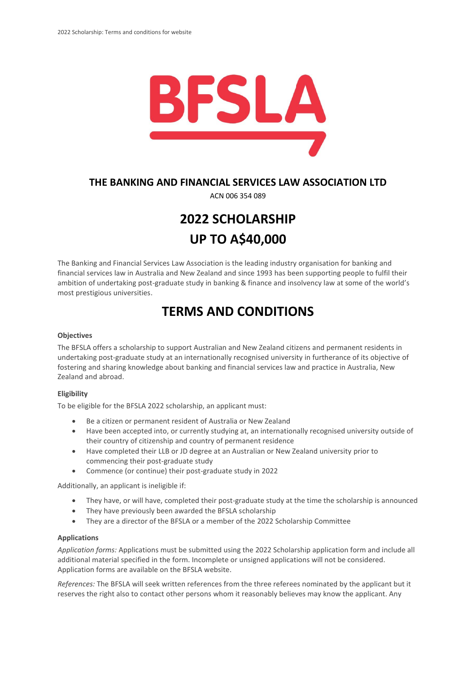

### **THE BANKING AND FINANCIAL SERVICES LAW ASSOCIATION LTD**

ACN 006 354 089

# **2022 SCHOLARSHIP UP TO A\$40,000**

The Banking and Financial Services Law Association is the leading industry organisation for banking and financial services law in Australia and New Zealand and since 1993 has been supporting people to fulfil their ambition of undertaking post-graduate study in banking & finance and insolvency law at some of the world's most prestigious universities.

## **TERMS AND CONDITIONS**

#### **Objectives**

The BFSLA offers a scholarship to support Australian and New Zealand citizens and permanent residents in undertaking post-graduate study at an internationally recognised university in furtherance of its objective of fostering and sharing knowledge about banking and financial services law and practice in Australia, New Zealand and abroad.

#### **Eligibility**

To be eligible for the BFSLA 2022 scholarship, an applicant must:

- Be a citizen or permanent resident of Australia or New Zealand
- Have been accepted into, or currently studying at, an internationally recognised university outside of their country of citizenship and country of permanent residence
- Have completed their LLB or JD degree at an Australian or New Zealand university prior to commencing their post-graduate study
- Commence (or continue) their post-graduate study in 2022

Additionally, an applicant is ineligible if:

- They have, or will have, completed their post-graduate study at the time the scholarship is announced
- They have previously been awarded the BFSLA scholarship
- They are a director of the BFSLA or a member of the 2022 Scholarship Committee

#### **Applications**

*Application forms:* Applications must be submitted using the 2022 Scholarship application form and include all additional material specified in the form. Incomplete or unsigned applications will not be considered. Application forms are available on the BFSLA website.

*References:* The BFSLA will seek written references from the three referees nominated by the applicant but it reserves the right also to contact other persons whom it reasonably believes may know the applicant. Any